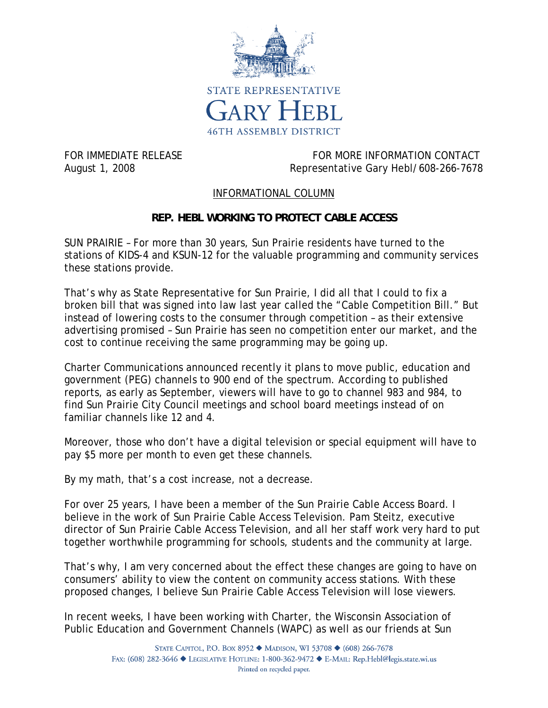

FOR IMMEDIATE RELEASE FOR THE SERVICE OF STATE RELEASE FOR MORE INFORMATION CONTACT August 1, 2008 Representative Gary Hebl/608-266-7678

## INFORMATIONAL COLUMN

## **REP. HEBL WORKING TO PROTECT CABLE ACCESS**

SUN PRAIRIE – For more than 30 years, Sun Prairie residents have turned to the stations of KIDS-4 and KSUN-12 for the valuable programming and community services these stations provide.

That's why as State Representative for Sun Prairie, I did all that I could to fix a broken bill that was signed into law last year called the "Cable Competition Bill." But instead of lowering costs to the consumer through competition – as their extensive advertising promised – Sun Prairie has seen no competition enter our market, and the cost to continue receiving the same programming may be going up.

Charter Communications announced recently it plans to move public, education and government (PEG) channels to 900 end of the spectrum. According to published reports, as early as September, viewers will have to go to channel 983 and 984, to find Sun Prairie City Council meetings and school board meetings instead of on familiar channels like 12 and 4.

Moreover, those who don't have a digital television or special equipment will have to pay \$5 more per month to even get these channels.

By my math, that's a cost increase, not a decrease.

For over 25 years, I have been a member of the Sun Prairie Cable Access Board. I believe in the work of Sun Prairie Cable Access Television. Pam Steitz, executive director of Sun Prairie Cable Access Television, and all her staff work very hard to put together worthwhile programming for schools, students and the community at large.

That's why, I am very concerned about the effect these changes are going to have on consumers' ability to view the content on community access stations. With these proposed changes, I believe Sun Prairie Cable Access Television will lose viewers.

In recent weeks, I have been working with Charter, the Wisconsin Association of Public Education and Government Channels (WAPC) as well as our friends at Sun